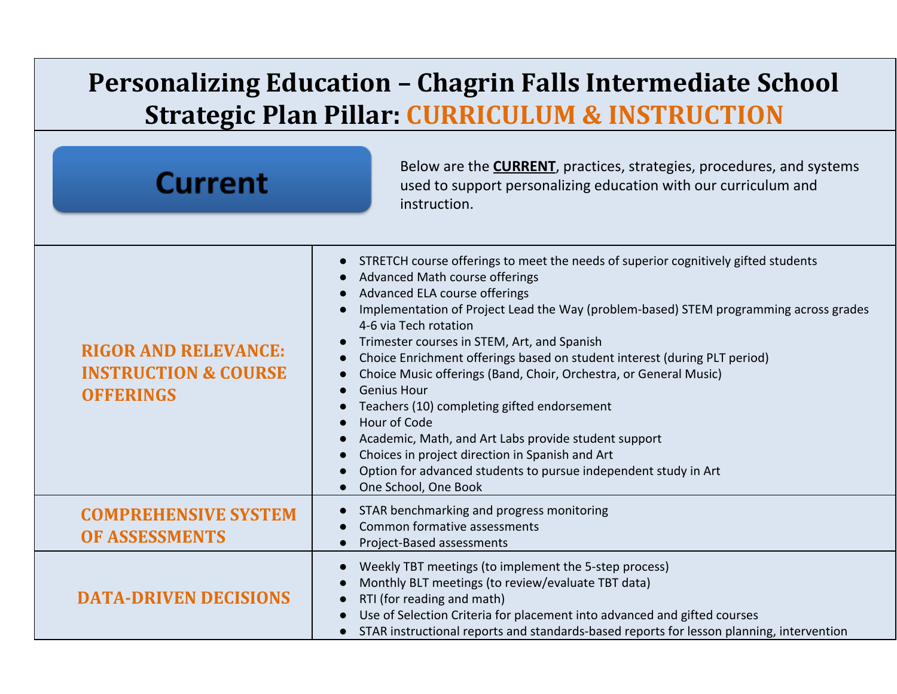## **Personalizing Education – Chagrin Falls Intermediate School Strategic Plan Pillar: CURRICULUM & INSTRUCTION**

| <b>Current</b>                                                                     | Below are the <b>CURRENT</b> , practices, strategies, procedures, and systems<br>used to support personalizing education with our curriculum and<br>instruction.                                                                                                                                                                                                                                                                                                                                                                                                                                                                                                                                                                                                                 |
|------------------------------------------------------------------------------------|----------------------------------------------------------------------------------------------------------------------------------------------------------------------------------------------------------------------------------------------------------------------------------------------------------------------------------------------------------------------------------------------------------------------------------------------------------------------------------------------------------------------------------------------------------------------------------------------------------------------------------------------------------------------------------------------------------------------------------------------------------------------------------|
| <b>RIGOR AND RELEVANCE:</b><br><b>INSTRUCTION &amp; COURSE</b><br><b>OFFERINGS</b> | STRETCH course offerings to meet the needs of superior cognitively gifted students<br>$\bullet$<br>Advanced Math course offerings<br>Advanced ELA course offerings<br>Implementation of Project Lead the Way (problem-based) STEM programming across grades<br>4-6 via Tech rotation<br>Trimester courses in STEM, Art, and Spanish<br>Choice Enrichment offerings based on student interest (during PLT period)<br>Choice Music offerings (Band, Choir, Orchestra, or General Music)<br><b>Genius Hour</b><br>Teachers (10) completing gifted endorsement<br>Hour of Code<br>Academic, Math, and Art Labs provide student support<br>Choices in project direction in Spanish and Art<br>Option for advanced students to pursue independent study in Art<br>One School, One Book |
| <b>COMPREHENSIVE SYSTEM</b><br><b>OF ASSESSMENTS</b>                               | STAR benchmarking and progress monitoring<br>$\bullet$<br>Common formative assessments<br>Project-Based assessments                                                                                                                                                                                                                                                                                                                                                                                                                                                                                                                                                                                                                                                              |
| <b>DATA-DRIVEN DECISIONS</b>                                                       | Weekly TBT meetings (to implement the 5-step process)<br>Monthly BLT meetings (to review/evaluate TBT data)<br>RTI (for reading and math)<br>Use of Selection Criteria for placement into advanced and gifted courses<br>STAR instructional reports and standards-based reports for lesson planning, intervention                                                                                                                                                                                                                                                                                                                                                                                                                                                                |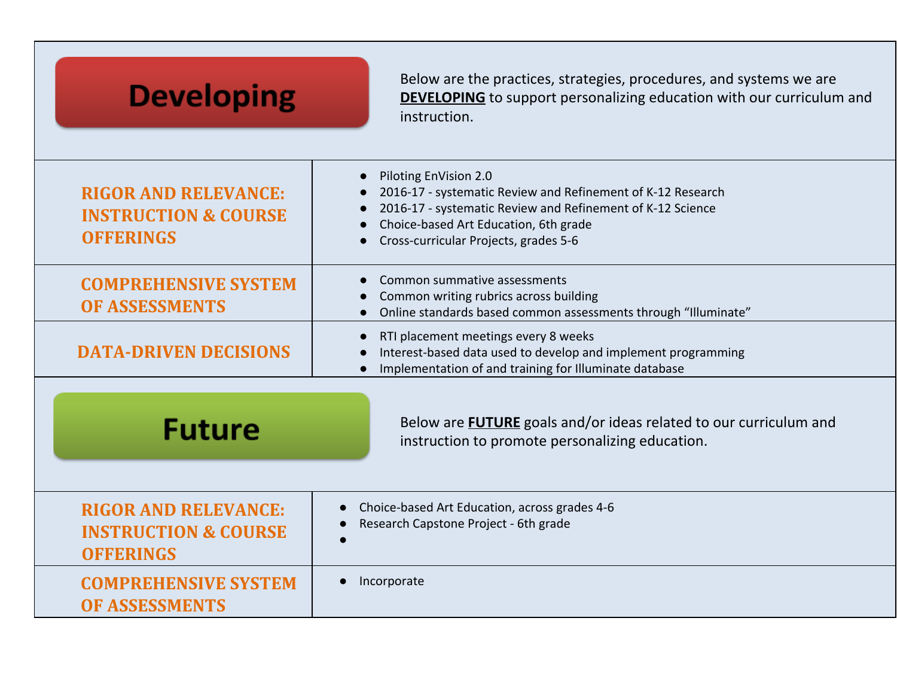| <b>Developing</b>                                                                  | Below are the practices, strategies, procedures, and systems we are<br><b>DEVELOPING</b> to support personalizing education with our curriculum and<br>instruction.                                                                  |
|------------------------------------------------------------------------------------|--------------------------------------------------------------------------------------------------------------------------------------------------------------------------------------------------------------------------------------|
| <b>RIGOR AND RELEVANCE:</b><br><b>INSTRUCTION &amp; COURSE</b><br><b>OFFERINGS</b> | Piloting EnVision 2.0<br>2016-17 - systematic Review and Refinement of K-12 Research<br>2016-17 - systematic Review and Refinement of K-12 Science<br>Choice-based Art Education, 6th grade<br>Cross-curricular Projects, grades 5-6 |
| <b>COMPREHENSIVE SYSTEM</b><br><b>OF ASSESSMENTS</b>                               | Common summative assessments<br>Common writing rubrics across building<br>Online standards based common assessments through "Illuminate"                                                                                             |
| <b>DATA-DRIVEN DECISIONS</b>                                                       | RTI placement meetings every 8 weeks<br>Interest-based data used to develop and implement programming<br>Implementation of and training for Illuminate database                                                                      |
| <b>Future</b>                                                                      | Below are <b>FUTURE</b> goals and/or ideas related to our curriculum and<br>instruction to promote personalizing education.                                                                                                          |
| <b>RIGOR AND RELEVANCE:</b><br><b>INSTRUCTION &amp; COURSE</b><br><b>OFFERINGS</b> | Choice-based Art Education, across grades 4-6<br>Research Capstone Project - 6th grade                                                                                                                                               |
| <b>COMPREHENSIVE SYSTEM</b><br><b>OF ASSESSMENTS</b>                               | Incorporate<br>$\bullet$                                                                                                                                                                                                             |